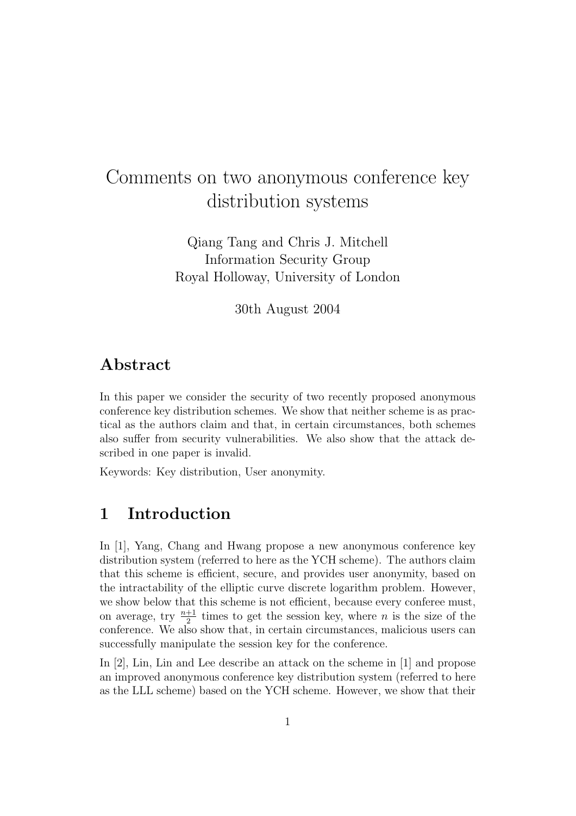# Comments on two anonymous conference key distribution systems

Qiang Tang and Chris J. Mitchell Information Security Group Royal Holloway, University of London

30th August 2004

### Abstract

In this paper we consider the security of two recently proposed anonymous conference key distribution schemes. We show that neither scheme is as practical as the authors claim and that, in certain circumstances, both schemes also suffer from security vulnerabilities. We also show that the attack described in one paper is invalid.

Keywords: Key distribution, User anonymity.

### 1 Introduction

In [1], Yang, Chang and Hwang propose a new anonymous conference key distribution system (referred to here as the YCH scheme). The authors claim that this scheme is efficient, secure, and provides user anonymity, based on the intractability of the elliptic curve discrete logarithm problem. However, we show below that this scheme is not efficient, because every conferee must, on average, try  $\frac{n+1}{2}$  times to get the session key, where *n* is the size of the conference. We also show that, in certain circumstances, malicious users can successfully manipulate the session key for the conference.

In [2], Lin, Lin and Lee describe an attack on the scheme in [1] and propose an improved anonymous conference key distribution system (referred to here as the LLL scheme) based on the YCH scheme. However, we show that their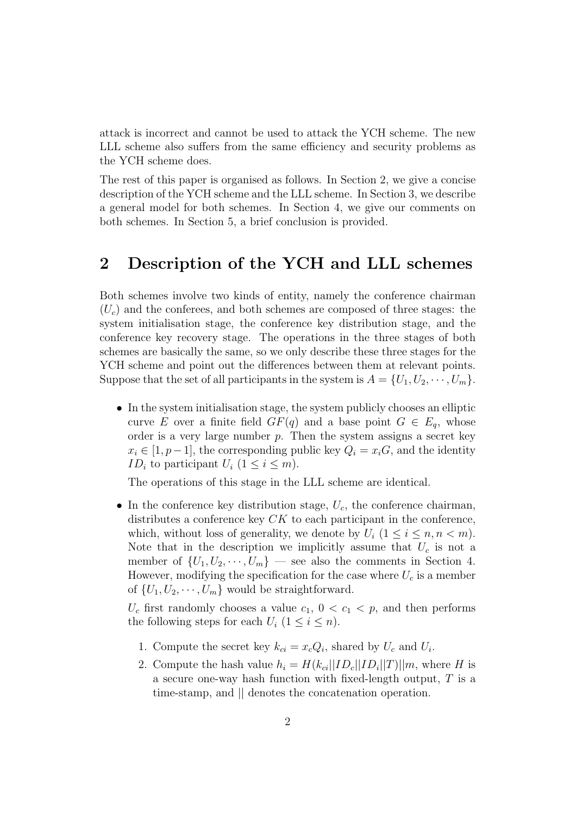attack is incorrect and cannot be used to attack the YCH scheme. The new LLL scheme also suffers from the same efficiency and security problems as the YCH scheme does.

The rest of this paper is organised as follows. In Section 2, we give a concise description of the YCH scheme and the LLL scheme. In Section 3, we describe a general model for both schemes. In Section 4, we give our comments on both schemes. In Section 5, a brief conclusion is provided.

### 2 Description of the YCH and LLL schemes

Both schemes involve two kinds of entity, namely the conference chairman  $(U_c)$  and the conferees, and both schemes are composed of three stages: the system initialisation stage, the conference key distribution stage, and the conference key recovery stage. The operations in the three stages of both schemes are basically the same, so we only describe these three stages for the YCH scheme and point out the differences between them at relevant points. Suppose that the set of all participants in the system is  $A = \{U_1, U_2, \dots, U_m\}.$ 

• In the system initialisation stage, the system publicly chooses an elliptic curve E over a finite field  $GF(q)$  and a base point  $G \in E_q$ , whose order is a very large number  $p$ . Then the system assigns a secret key  $x_i \in [1, p-1]$ , the corresponding public key  $Q_i = x_i$ , and the identity *ID<sub>i</sub>* to participant  $U_i$   $(1 \leq i \leq m)$ .

The operations of this stage in the LLL scheme are identical.

• In the conference key distribution stage,  $U_c$ , the conference chairman, distributes a conference key  $CK$  to each participant in the conference, which, without loss of generality, we denote by  $U_i$   $(1 \leq i \leq n, n < m)$ . Note that in the description we implicitly assume that  $U_c$  is not a member of  $\{U_1, U_2, \cdots, U_m\}$  — see also the comments in Section 4. However, modifying the specification for the case where  $U_c$  is a member of  $\{U_1, U_2, \cdots, U_m\}$  would be straightforward.

 $U_c$  first randomly chooses a value  $c_1$ ,  $0 < c_1 < p$ , and then performs the following steps for each  $U_i$   $(1 \leq i \leq n)$ .

- 1. Compute the secret key  $k_{ci} = x_c Q_i$ , shared by  $U_c$  and  $U_i$ .
- 2. Compute the hash value  $h_i = H(k_{ci}||ID_c||ID_i||T)||m$ , where H is a secure one-way hash function with fixed-length output, T is a time-stamp, and || denotes the concatenation operation.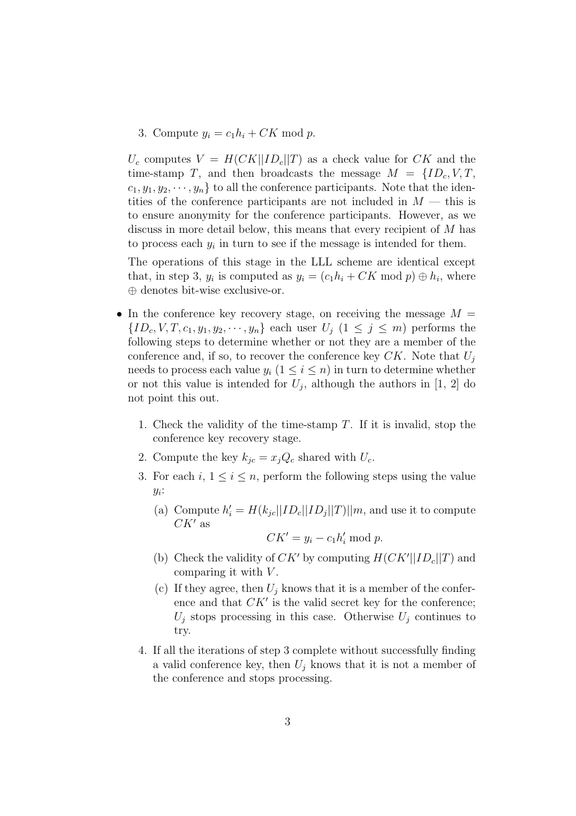3. Compute  $y_i = c_1 h_i + C K \text{ mod } p$ .

 $U_c$  computes  $V = H(CK||ID_c||T)$  as a check value for CK and the time-stamp T, and then broadcasts the message  $M = \{ID_c, V, T,$  $c_1, y_1, y_2, \dots, y_n$  to all the conference participants. Note that the identities of the conference participants are not included in  $M -$  this is to ensure anonymity for the conference participants. However, as we discuss in more detail below, this means that every recipient of M has to process each  $y_i$  in turn to see if the message is intended for them.

The operations of this stage in the LLL scheme are identical except that, in step 3,  $y_i$  is computed as  $y_i = (c_1h_i + CK \mod p) \oplus h_i$ , where ⊕ denotes bit-wise exclusive-or.

- In the conference key recovery stage, on receiving the message  $M =$  $\{ID_c, V, T, c_1, y_1, y_2, \cdots, y_n\}$  each user  $U_j$   $(1 \leq j \leq m)$  performs the following steps to determine whether or not they are a member of the conference and, if so, to recover the conference key  $CK$ . Note that  $U_i$ needs to process each value  $y_i$   $(1 \leq i \leq n)$  in turn to determine whether or not this value is intended for  $U_j$ , although the authors in [1, 2] do not point this out.
	- 1. Check the validity of the time-stamp  $T$ . If it is invalid, stop the conference key recovery stage.
	- 2. Compute the key  $k_{ic} = x_i Q_c$  shared with  $U_c$ .
	- 3. For each i,  $1 \leq i \leq n$ , perform the following steps using the value  $y_i$ :
		- (a) Compute  $h'_i = H(k_{jc}||ID_c||ID_j||T)||m$ , and use it to compute  $CK'$  as

$$
CK' = y_i - c_1 h'_i \bmod p.
$$

- (b) Check the validity of  $CK'$  by computing  $H(CK'||ID_c||T)$  and comparing it with  $V$ .
- (c) If they agree, then  $U_i$  knows that it is a member of the conference and that  $CK'$  is the valid secret key for the conference;  $U_j$  stops processing in this case. Otherwise  $U_j$  continues to try.
- 4. If all the iterations of step 3 complete without successfully finding a valid conference key, then  $U_i$  knows that it is not a member of the conference and stops processing.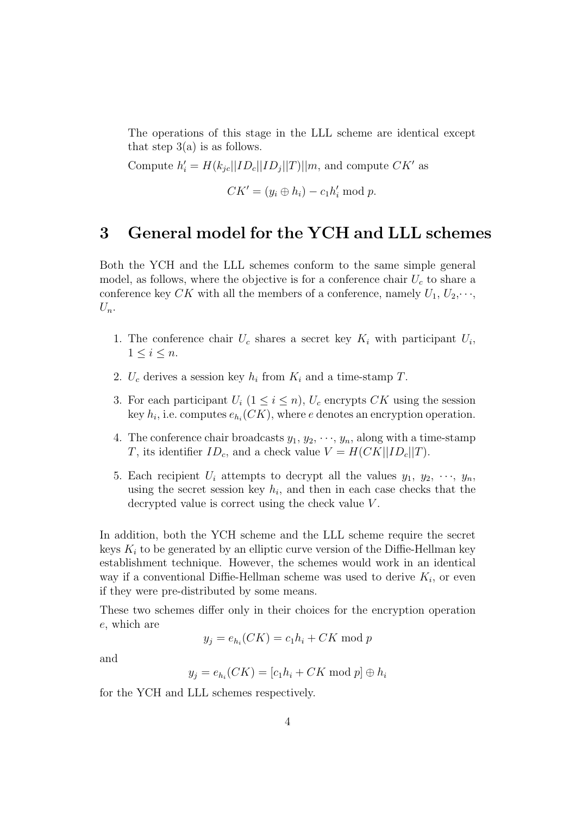The operations of this stage in the LLL scheme are identical except that step  $3(a)$  is as follows.

Compute  $h'_i = H(k_{jc}||ID_c||ID_j||T)||m$ , and compute  $CK^{\prime}$  as

$$
CK' = (y_i \oplus h_i) - c_1 h'_i \bmod p.
$$

# 3 General model for the YCH and LLL schemes

Both the YCH and the LLL schemes conform to the same simple general model, as follows, where the objective is for a conference chair  $U_c$  to share a conference key CK with all the members of a conference, namely  $U_1, U_2, \dots$ ,  $U_n$ .

- 1. The conference chair  $U_c$  shares a secret key  $K_i$  with participant  $U_i$ ,  $1 \leq i \leq n$ .
- 2.  $U_c$  derives a session key  $h_i$  from  $K_i$  and a time-stamp T.
- 3. For each participant  $U_i$   $(1 \leq i \leq n)$ ,  $U_c$  encrypts  $CK$  using the session key  $h_i$ , i.e. computes  $e_{h_i}(CK)$ , where e denotes an encryption operation.
- 4. The conference chair broadcasts  $y_1, y_2, \dots, y_n$ , along with a time-stamp T, its identifier  $ID_c$ , and a check value  $V = H(CK||ID_c||T)$ .
- 5. Each recipient  $U_i$  attempts to decrypt all the values  $y_1, y_2, \dots, y_n$ , using the secret session key  $h_i$ , and then in each case checks that the decrypted value is correct using the check value V.

In addition, both the YCH scheme and the LLL scheme require the secret keys  $K_i$  to be generated by an elliptic curve version of the Diffie-Hellman key establishment technique. However, the schemes would work in an identical way if a conventional Diffie-Hellman scheme was used to derive  $K_i$ , or even if they were pre-distributed by some means.

These two schemes differ only in their choices for the encryption operation e, which are

$$
y_j = e_{h_i}(CK) = c_1h_i + CK \bmod p
$$

and

$$
y_j = e_{h_i}(CK) = [c_1h_i + CK \bmod p] \oplus h_i
$$

for the YCH and LLL schemes respectively.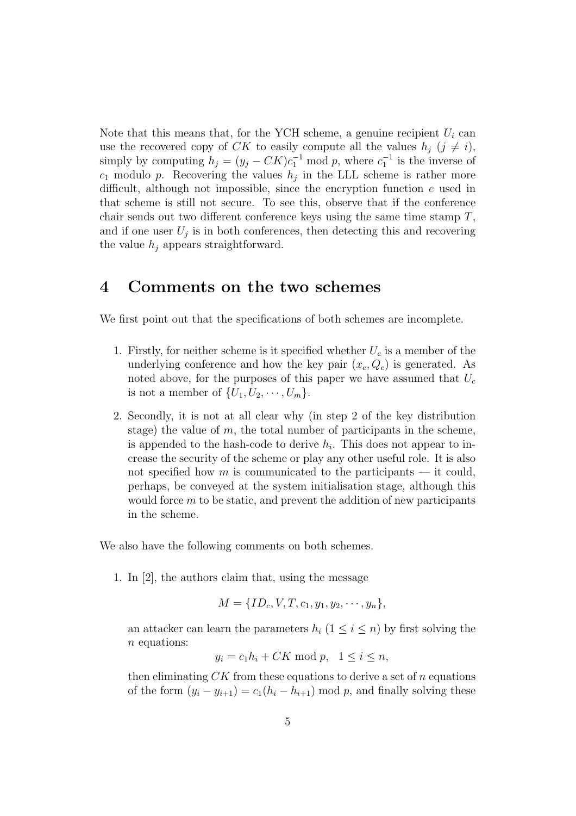Note that this means that, for the YCH scheme, a genuine recipient  $U_i$  can use the recovered copy of CK to easily compute all the values  $h_j$   $(j \neq i)$ , simply by computing  $h_j = (y_j - CK)c_1^{-1} \text{ mod } p$ , where  $c_1^{-1}$  is the inverse of  $c_1$  modulo p. Recovering the values  $h_j$  in the LLL scheme is rather more difficult, although not impossible, since the encryption function  $e$  used in that scheme is still not secure. To see this, observe that if the conference chair sends out two different conference keys using the same time stamp  $T$ , and if one user  $U_j$  is in both conferences, then detecting this and recovering the value  $h_j$  appears straightforward.

#### 4 Comments on the two schemes

We first point out that the specifications of both schemes are incomplete.

- 1. Firstly, for neither scheme is it specified whether  $U_c$  is a member of the underlying conference and how the key pair  $(x_c, Q_c)$  is generated. As noted above, for the purposes of this paper we have assumed that  $U_c$ is not a member of  $\{U_1, U_2, \cdots, U_m\}.$
- 2. Secondly, it is not at all clear why (in step 2 of the key distribution stage) the value of  $m$ , the total number of participants in the scheme, is appended to the hash-code to derive  $h_i$ . This does not appear to increase the security of the scheme or play any other useful role. It is also not specified how m is communicated to the participants — it could, perhaps, be conveyed at the system initialisation stage, although this would force  $m$  to be static, and prevent the addition of new participants in the scheme.

We also have the following comments on both schemes.

1. In [2], the authors claim that, using the message

$$
M = \{ID_c, V, T, c_1, y_1, y_2, \cdots, y_n\},\
$$

an attacker can learn the parameters  $h_i$  ( $1 \leq i \leq n$ ) by first solving the n equations:

$$
y_i = c_1 h_i + C K \bmod p, \quad 1 \le i \le n,
$$

then eliminating  $CK$  from these equations to derive a set of n equations of the form  $(y_i - y_{i+1}) = c_1(h_i - h_{i+1}) \mod p$ , and finally solving these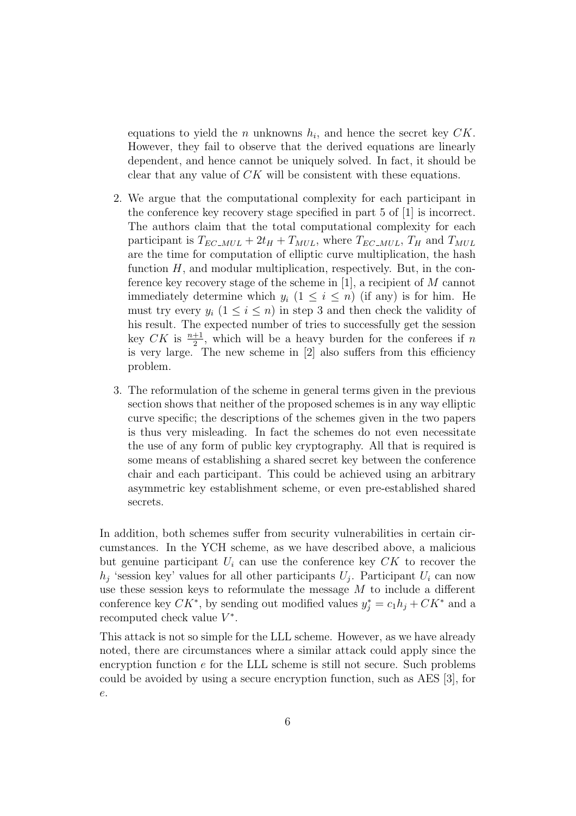equations to yield the *n* unknowns  $h_i$ , and hence the secret key  $CK$ . However, they fail to observe that the derived equations are linearly dependent, and hence cannot be uniquely solved. In fact, it should be clear that any value of CK will be consistent with these equations.

- 2. We argue that the computational complexity for each participant in the conference key recovery stage specified in part 5 of [1] is incorrect. The authors claim that the total computational complexity for each participant is  $T_{EC\_MUL} + 2t_H + T_{MUL}$ , where  $T_{EC\_MUL}$ ,  $T_H$  and  $T_{MUL}$ are the time for computation of elliptic curve multiplication, the hash function  $H$ , and modular multiplication, respectively. But, in the conference key recovery stage of the scheme in [1], a recipient of M cannot immediately determine which  $y_i$  ( $1 \leq i \leq n$ ) (if any) is for him. He must try every  $y_i$   $(1 \leq i \leq n)$  in step 3 and then check the validity of his result. The expected number of tries to successfully get the session key  $CK$  is  $\frac{n+1}{2}$ , which will be a heavy burden for the conferees if n is very large. The new scheme in [2] also suffers from this efficiency problem.
- 3. The reformulation of the scheme in general terms given in the previous section shows that neither of the proposed schemes is in any way elliptic curve specific; the descriptions of the schemes given in the two papers is thus very misleading. In fact the schemes do not even necessitate the use of any form of public key cryptography. All that is required is some means of establishing a shared secret key between the conference chair and each participant. This could be achieved using an arbitrary asymmetric key establishment scheme, or even pre-established shared secrets.

In addition, both schemes suffer from security vulnerabilities in certain circumstances. In the YCH scheme, as we have described above, a malicious but genuine participant  $U_i$  can use the conference key  $CK$  to recover the  $h_j$  'session key' values for all other participants  $U_j$ . Participant  $U_i$  can now use these session keys to reformulate the message M to include a different conference key  $CK^*$ , by sending out modified values  $y_j^* = c_1 h_j + CK^*$  and a recomputed check value  $V^*$ .

This attack is not so simple for the LLL scheme. However, as we have already noted, there are circumstances where a similar attack could apply since the encryption function  $e$  for the LLL scheme is still not secure. Such problems could be avoided by using a secure encryption function, such as AES [3], for e.